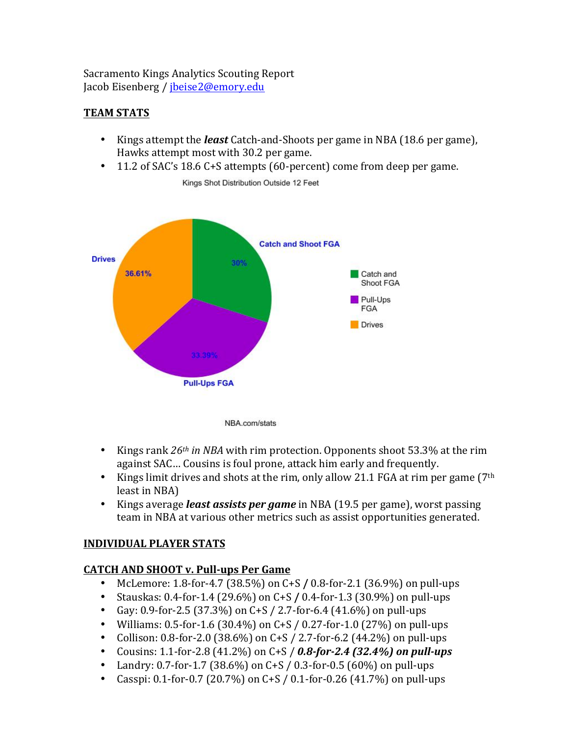Sacramento Kings Analytics Scouting Report Jacob Eisenberg / jbeise2@emory.edu

# **TEAM%STATS**

- Kings attempt the *least* Catch-and-Shoots per game in NBA (18.6 per game), Hawks attempt most with 30.2 per game.
- 11.2 of SAC's 18.6 C+S attempts (60-percent) come from deep per game.



Kings Shot Distribution Outside 12 Feet

- Kings rank  $26<sup>th</sup>$  *in NBA* with rim protection. Opponents shoot 53.3% at the rim against SAC... Cousins is foul prone, attack him early and frequently.
- Kings limit drives and shots at the rim, only allow 21.1 FGA at rim per game ( $7<sup>th</sup>$ ) least in NBA)
- Kings average *least assists per game* in NBA (19.5 per game), worst passing team in NBA at various other metrics such as assist opportunities generated.

# **INDIVIDUAL%PLAYER%STATS**

# **CATCH AND SHOOT v. Pull-ups Per Game**

- McLemore:  $1.8$ -for- $4.7$  (38.5%) on  $C+S$  / 0.8-for-2.1 (36.9%) on pull-ups
- Stauskas: 0.4-for-1.4 (29.6%) on C+S / 0.4-for-1.3 (30.9%) on pull-ups
- Gay: 0.9-for-2.5 (37.3%) on C+S / 2.7-for-6.4 (41.6%) on pull-ups
- Williams: 0.5-for-1.6 (30.4%) on C+S / 0.27-for-1.0 (27%) on pull-ups
- Collison: 0.8-for-2.0 (38.6%) on C+S / 2.7-for-6.2 (44.2%) on pull-ups
- Cousins: 1.1-for-2.8 (41.2%) on C+S / 0.8-for-2.4 (32.4%) on pull-ups
- Landry: 0.7-for-1.7 (38.6%) on C+S / 0.3-for-0.5 (60%) on pull-ups
- Casspi: 0.1-for-0.7 (20.7%) on C+S / 0.1-for-0.26 (41.7%) on pull-ups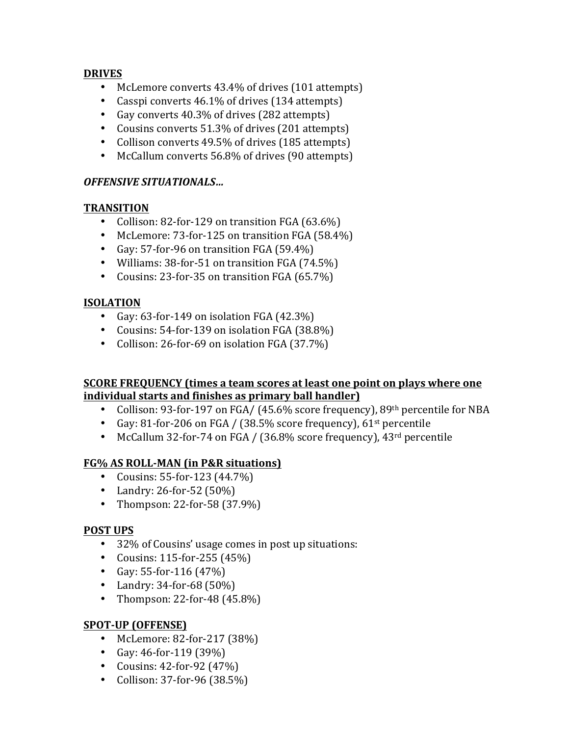### **DRIVES**

- McLemore converts 43.4% of drives (101 attempts)
- Casspi converts  $46.1\%$  of drives (134 attempts)
- Gay converts  $40.3\%$  of drives (282 attempts)
- Cousins converts  $51.3\%$  of drives (201 attempts)
- Collison converts 49.5% of drives (185 attempts)
- McCallum converts 56.8% of drives (90 attempts)

## *OFFENSIVE!SITUATIONALS…*

### **TRANSITION**

- Collison: 82-for-129 on transition  $FGA(63.6%)$
- McLemore: 73-for-125 on transition  $FGA(58.4%)$
- Gay: 57-for-96 on transition  $FGA (59.4%)$
- Williams:  $38$ -for-51 on transition FGA (74.5%)
- Cousins: 23-for-35 on transition  $FGA(65.7%)$

## **ISOLATION**

- Gay:  $63$ -for-149 on isolation FGA  $(42.3\%)$
- Cousins:  $54$ -for-139 on isolation FGA (38.8%)
- Collison: 26-for-69 on isolation  $FGA (37.7%)$

#### **SCORE FREQUENCY** (times a team scores at least one point on plays where one **individual starts and finishes as primary ball handler)**

- Collison: 93-for-197 on FGA/ (45.6% score frequency),  $89<sup>th</sup>$  percentile for NBA
- Gay: 81-for-206 on FGA / (38.5% score frequency),  $61^{st}$  percentile
- McCallum 32-for-74 on FGA / (36.8% score frequency),  $43<sup>rd</sup>$  percentile

# **FG% AS ROLL-MAN (in P&R situations)**

- Cousins: 55-for-123  $(44.7%)$
- Landry: 26-for-52  $(50\%)$
- Thompson: 22-for-58  $(37.9\%)$

## **POST UPS**

- 32% of Cousins' usage comes in post up situations:
- Cousins: 115-for-255  $(45%)$
- Gay: 55-for-116  $(47%)$
- Landry:  $34$ -for- $68(50\%)$
- Thompson: 22-for-48  $(45.8\%)$

# **SPOT-UP (OFFENSE)**

- McLemore: 82-for-217  $(38%)$
- Gay:  $46$ -for-119 (39%)
- Cousins:  $42$ -for-92  $(47%)$
- Collison: 37-for-96  $(38.5%)$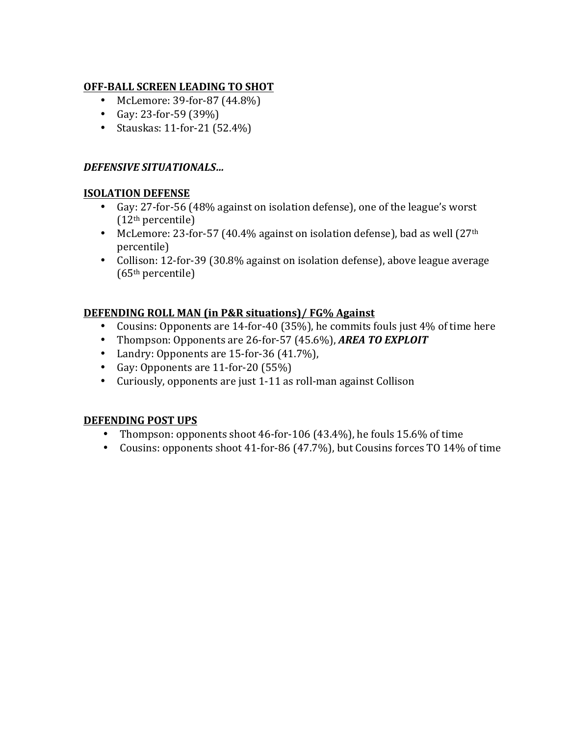## **OFF-BALL SCREEN LEADING TO SHOT**

- McLemore:  $39$ -for- $87$  (44.8%)
- Gay: 23-for-59  $(39%)$
- Stauskas: 11-for-21  $(52.4\%)$

### *DEFENSIVE!SITUATIONALS…*

#### **ISOLATION%DEFENSE**

- Gay: 27-for-56 (48% against on isolation defense), one of the league's worst (12th percentile)
- McLemore: 23-for-57 (40.4% against on isolation defense), bad as well (27<sup>th</sup>) percentile)
- Collison: 12-for-39 (30.8% against on isolation defense), above league average (65th percentile)

### **DEFENDING ROLL MAN (in P&R situations)/ FG% Against**

- Cousins: Opponents are 14-for-40 (35%), he commits fouls just 4% of time here
- Thompson: Opponents are 26-for-57 (45.6%), *AREA TO EXPLOIT*
- Landry: Opponents are  $15$ -for- $36(41.7%)$ ,
- Gay: Opponents are  $11$ -for-20 (55%)
- Curiously, opponents are just 1-11 as roll-man against Collison

#### **DEFENDING POST UPS**

- Thompson: opponents shoot 46-for-106 (43.4%), he fouls  $15.6%$  of time
- Cousins: opponents shoot 41-for-86 (47.7%), but Cousins forces TO 14% of time